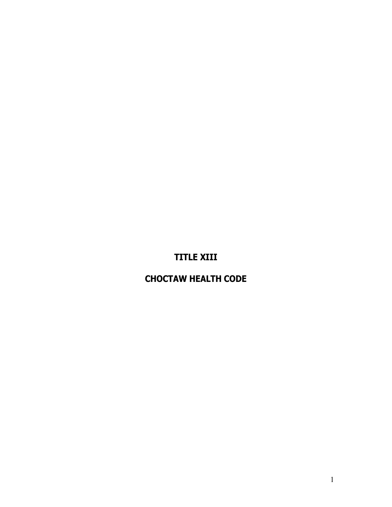# **TITLE XIII**

# **CHOCTAW HEALTH CODE**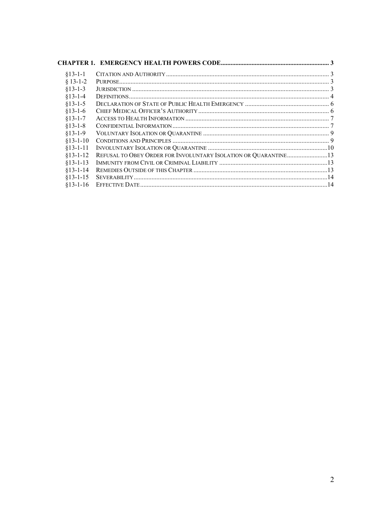| $$13-1-1$      |                                                                 |  |
|----------------|-----------------------------------------------------------------|--|
| $§ 13-1-2$     |                                                                 |  |
| $§13-1-3$      |                                                                 |  |
| $§13-1-4$      |                                                                 |  |
| $§13-1-5$      |                                                                 |  |
| $$13-1-6$      |                                                                 |  |
| $§13-1-7$      |                                                                 |  |
| $§13-1-8$      |                                                                 |  |
| $§13-1-9$      |                                                                 |  |
| $§13-1-10$     |                                                                 |  |
| $§13-1-11$     |                                                                 |  |
| $§13-1-12$     | REFUSAL TO OBEY ORDER FOR INVOLUNTARY ISOLATION OR QUARANTINE13 |  |
| $§13 - 1 - 13$ |                                                                 |  |
| $§13-1-14$     |                                                                 |  |
| $§13 - 1 - 15$ |                                                                 |  |
| $$13-1-16$     |                                                                 |  |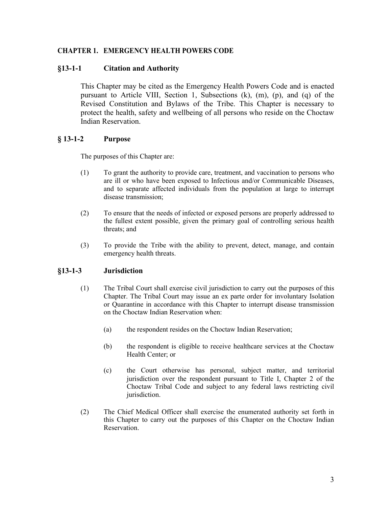## <span id="page-2-0"></span>**CHAPTER 1. EMERGENCY HEALTH POWERS CODE**

## <span id="page-2-1"></span>**§13-1-1 Citation and Authority**

This Chapter may be cited as the Emergency Health Powers Code and is enacted pursuant to Article VIII, Section 1, Subsections (k), (m), (p), and (q) of the Revised Constitution and Bylaws of the Tribe. This Chapter is necessary to protect the health, safety and wellbeing of all persons who reside on the Choctaw Indian Reservation.

## <span id="page-2-2"></span>**§ 13-1-2 Purpose**

The purposes of this Chapter are:

- (1) To grant the authority to provide care, treatment, and vaccination to persons who are ill or who have been exposed to Infectious and/or Communicable Diseases, and to separate affected individuals from the population at large to interrupt disease transmission;
- (2) To ensure that the needs of infected or exposed persons are properly addressed to the fullest extent possible, given the primary goal of controlling serious health threats; and
- (3) To provide the Tribe with the ability to prevent, detect, manage, and contain emergency health threats.

## <span id="page-2-3"></span>**§13-1-3 Jurisdiction**

- (1) The Tribal Court shall exercise civil jurisdiction to carry out the purposes of this Chapter. The Tribal Court may issue an ex parte order for involuntary Isolation or Quarantine in accordance with this Chapter to interrupt disease transmission on the Choctaw Indian Reservation when:
	- (a) the respondent resides on the Choctaw Indian Reservation;
	- (b) the respondent is eligible to receive healthcare services at the Choctaw Health Center; or
	- (c) the Court otherwise has personal, subject matter, and territorial jurisdiction over the respondent pursuant to Title I, Chapter 2 of the Choctaw Tribal Code and subject to any federal laws restricting civil jurisdiction.
- (2) The Chief Medical Officer shall exercise the enumerated authority set forth in this Chapter to carry out the purposes of this Chapter on the Choctaw Indian Reservation.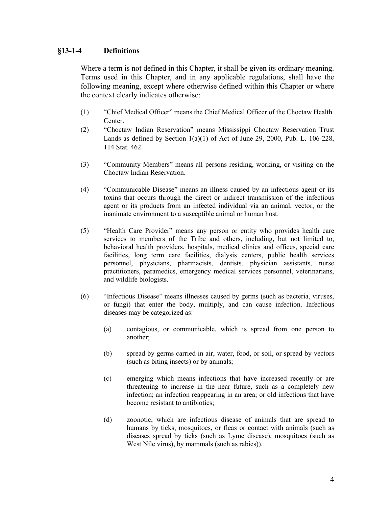## <span id="page-3-0"></span>**§13-1-4 Definitions**

Where a term is not defined in this Chapter, it shall be given its ordinary meaning. Terms used in this Chapter, and in any applicable regulations, shall have the following meaning, except where otherwise defined within this Chapter or where the context clearly indicates otherwise:

- (1) "Chief Medical Officer" means the Chief Medical Officer of the Choctaw Health Center.
- (2) "Choctaw Indian Reservation" means Mississippi Choctaw Reservation Trust Lands as defined by Section  $1(a)(1)$  of Act of June 29, 2000, Pub. L.  $106-228$ , 114 Stat. 462.
- (3) "Community Members" means all persons residing, working, or visiting on the Choctaw Indian Reservation.
- (4) "Communicable Disease" means an illness caused by an infectious agent or its toxins that occurs through the direct or indirect transmission of the infectious agent or its products from an infected individual via an animal, vector, or the inanimate environment to a susceptible animal or human host.
- (5) "Health Care Provider" means any person or entity who provides health care services to members of the Tribe and others, including, but not limited to, behavioral health providers, hospitals, medical clinics and offices, special care facilities, long term care facilities, dialysis centers, public health services personnel, physicians, pharmacists, dentists, physician assistants, nurse practitioners, paramedics, emergency medical services personnel, veterinarians, and wildlife biologists.
- (6) "Infectious Disease" means illnesses caused by germs (such as bacteria, viruses, or fungi) that enter the body, multiply, and can cause infection. Infectious diseases may be categorized as:
	- (a) contagious, or communicable, which is spread from one person to another;
	- (b) spread by germs carried in air, water, food, or soil, or spread by vectors (such as biting insects) or by animals;
	- (c) emerging which means infections that have increased recently or are threatening to increase in the near future, such as a completely new infection; an infection reappearing in an area; or old infections that have become resistant to antibiotics;
	- (d) zoonotic, which are infectious disease of animals that are spread to humans by ticks, mosquitoes, or fleas or contact with animals (such as diseases spread by ticks (such as Lyme disease), mosquitoes (such as West Nile virus), by mammals (such as rabies)).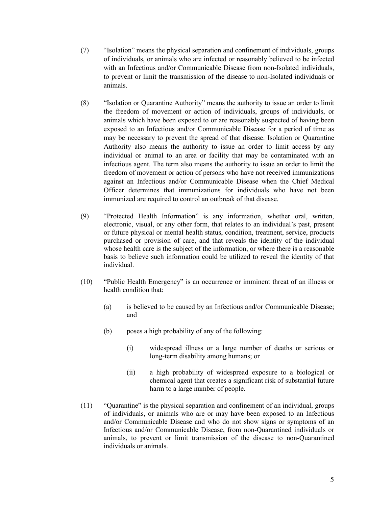- (7) "Isolation" means the physical separation and confinement of individuals, groups of individuals, or animals who are infected or reasonably believed to be infected with an Infectious and/or Communicable Disease from non-Isolated individuals, to prevent or limit the transmission of the disease to non-Isolated individuals or animals.
- (8) "Isolation or Quarantine Authority" means the authority to issue an order to limit the freedom of movement or action of individuals, groups of individuals, or animals which have been exposed to or are reasonably suspected of having been exposed to an Infectious and/or Communicable Disease for a period of time as may be necessary to prevent the spread of that disease. Isolation or Quarantine Authority also means the authority to issue an order to limit access by any individual or animal to an area or facility that may be contaminated with an infectious agent. The term also means the authority to issue an order to limit the freedom of movement or action of persons who have not received immunizations against an Infectious and/or Communicable Disease when the Chief Medical Officer determines that immunizations for individuals who have not been immunized are required to control an outbreak of that disease.
- (9) "Protected Health Information" is any information, whether oral, written, electronic, visual, or any other form, that relates to an individual's past, present or future physical or mental health status, condition, treatment, service, products purchased or provision of care, and that reveals the identity of the individual whose health care is the subject of the information, or where there is a reasonable basis to believe such information could be utilized to reveal the identity of that individual.
- (10) "Public Health Emergency" is an occurrence or imminent threat of an illness or health condition that:
	- (a) is believed to be caused by an Infectious and/or Communicable Disease; and
	- (b) poses a high probability of any of the following:
		- (i) widespread illness or a large number of deaths or serious or long-term disability among humans; or
		- (ii) a high probability of widespread exposure to a biological or chemical agent that creates a significant risk of substantial future harm to a large number of people.
- (11) "Quarantine" is the physical separation and confinement of an individual, groups of individuals, or animals who are or may have been exposed to an Infectious and/or Communicable Disease and who do not show signs or symptoms of an Infectious and/or Communicable Disease, from non-Quarantined individuals or animals, to prevent or limit transmission of the disease to non-Quarantined individuals or animals.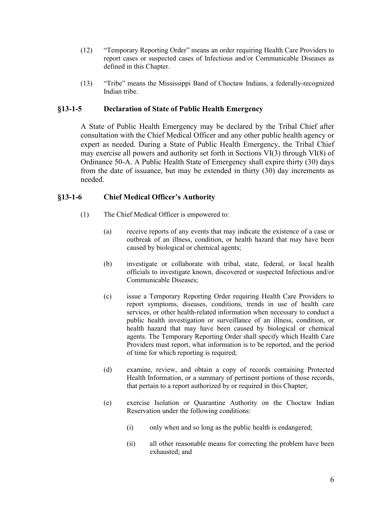- (12) "Temporary Reporting Order" means an order requiring Health Care Providers to report cases or suspected cases of Infectious and/or Communicable Diseases as defined in this Chapter.
- (13) "Tribe" means the Mississippi Band of Choctaw Indians, a federally-recognized Indian tribe.

## <span id="page-5-0"></span>**§13-1-5 Declaration of State of Public Health Emergency**

A State of Public Health Emergency may be declared by the Tribal Chief after consultation with the Chief Medical Officer and any other public health agency or expert as needed. During a State of Public Health Emergency, the Tribal Chief may exercise all powers and authority set forth in Sections VI(3) through VI(8) of Ordinance 50-A. A Public Health State of Emergency shall expire thirty (30) days from the date of issuance, but may be extended in thirty (30) day increments as needed.

## <span id="page-5-1"></span>**§13-1-6 Chief Medical Officer's Authority**

- (1) The Chief Medical Officer is empowered to:
	- (a) receive reports of any events that may indicate the existence of a case or outbreak of an illness, condition, or health hazard that may have been caused by biological or chemical agents;
	- (b) investigate or collaborate with tribal, state, federal, or local health officials to investigate known, discovered or suspected Infectious and/or Communicable Diseases;
	- (c) issue a Temporary Reporting Order requiring Health Care Providers to report symptoms, diseases, conditions, trends in use of health care services, or other health-related information when necessary to conduct a public health investigation or surveillance of an illness, condition, or health hazard that may have been caused by biological or chemical agents. The Temporary Reporting Order shall specify which Health Care Providers must report, what information is to be reported, and the period of time for which reporting is required;
	- (d) examine, review, and obtain a copy of records containing Protected Health Information, or a summary of pertinent portions of those records, that pertain to a report authorized by or required in this Chapter;
	- (e) exercise Isolation or Quarantine Authority on the Choctaw Indian Reservation under the following conditions:
		- (i) only when and so long as the public health is endangered;
		- (ii) all other reasonable means for correcting the problem have been exhausted; and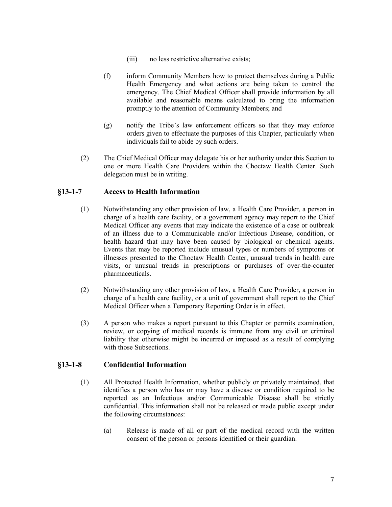- (iii) no less restrictive alternative exists;
- (f) inform Community Members how to protect themselves during a Public Health Emergency and what actions are being taken to control the emergency. The Chief Medical Officer shall provide information by all available and reasonable means calculated to bring the information promptly to the attention of Community Members; and
- (g) notify the Tribe's law enforcement officers so that they may enforce orders given to effectuate the purposes of this Chapter, particularly when individuals fail to abide by such orders.
- (2) The Chief Medical Officer may delegate his or her authority under this Section to one or more Health Care Providers within the Choctaw Health Center. Such delegation must be in writing.

## <span id="page-6-0"></span>**§13-1-7 Access to Health Information**

- (1) Notwithstanding any other provision of law, a Health Care Provider, a person in charge of a health care facility, or a government agency may report to the Chief Medical Officer any events that may indicate the existence of a case or outbreak of an illness due to a Communicable and/or Infectious Disease, condition, or health hazard that may have been caused by biological or chemical agents. Events that may be reported include unusual types or numbers of symptoms or illnesses presented to the Choctaw Health Center, unusual trends in health care visits, or unusual trends in prescriptions or purchases of over-the-counter pharmaceuticals.
- (2) Notwithstanding any other provision of law, a Health Care Provider, a person in charge of a health care facility, or a unit of government shall report to the Chief Medical Officer when a Temporary Reporting Order is in effect.
- (3) A person who makes a report pursuant to this Chapter or permits examination, review, or copying of medical records is immune from any civil or criminal liability that otherwise might be incurred or imposed as a result of complying with those Subsections.

#### <span id="page-6-1"></span>**§13-1-8 Confidential Information**

- (1) All Protected Health Information, whether publicly or privately maintained, that identifies a person who has or may have a disease or condition required to be reported as an Infectious and/or Communicable Disease shall be strictly confidential. This information shall not be released or made public except under the following circumstances:
	- (a) Release is made of all or part of the medical record with the written consent of the person or persons identified or their guardian.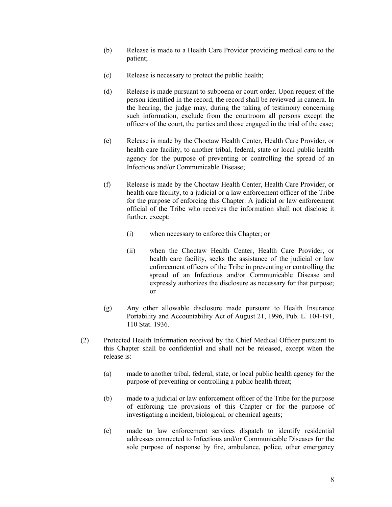- (b) Release is made to a Health Care Provider providing medical care to the patient;
- (c) Release is necessary to protect the public health;
- (d) Release is made pursuant to subpoena or court order. Upon request of the person identified in the record, the record shall be reviewed in camera. In the hearing, the judge may, during the taking of testimony concerning such information, exclude from the courtroom all persons except the officers of the court, the parties and those engaged in the trial of the case;
- (e) Release is made by the Choctaw Health Center, Health Care Provider, or health care facility, to another tribal, federal, state or local public health agency for the purpose of preventing or controlling the spread of an Infectious and/or Communicable Disease;
- (f) Release is made by the Choctaw Health Center, Health Care Provider, or health care facility, to a judicial or a law enforcement officer of the Tribe for the purpose of enforcing this Chapter. A judicial or law enforcement official of the Tribe who receives the information shall not disclose it further, except:
	- (i) when necessary to enforce this Chapter; or
	- (ii) when the Choctaw Health Center, Health Care Provider, or health care facility, seeks the assistance of the judicial or law enforcement officers of the Tribe in preventing or controlling the spread of an Infectious and/or Communicable Disease and expressly authorizes the disclosure as necessary for that purpose; or
- (g) Any other allowable disclosure made pursuant to Health Insurance Portability and Accountability Act of August 21, 1996, Pub. L. 104-191, 110 Stat. 1936.
- (2) Protected Health Information received by the Chief Medical Officer pursuant to this Chapter shall be confidential and shall not be released, except when the release is:
	- (a) made to another tribal, federal, state, or local public health agency for the purpose of preventing or controlling a public health threat;
	- (b) made to a judicial or law enforcement officer of the Tribe for the purpose of enforcing the provisions of this Chapter or for the purpose of investigating a incident, biological, or chemical agents;
	- (c) made to law enforcement services dispatch to identify residential addresses connected to Infectious and/or Communicable Diseases for the sole purpose of response by fire, ambulance, police, other emergency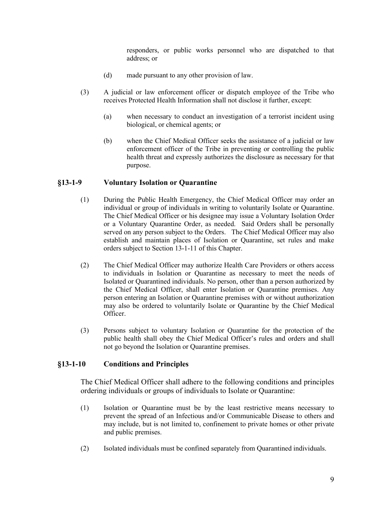responders, or public works personnel who are dispatched to that address; or

- (d) made pursuant to any other provision of law.
- (3) A judicial or law enforcement officer or dispatch employee of the Tribe who receives Protected Health Information shall not disclose it further, except:
	- (a) when necessary to conduct an investigation of a terrorist incident using biological, or chemical agents; or
	- (b) when the Chief Medical Officer seeks the assistance of a judicial or law enforcement officer of the Tribe in preventing or controlling the public health threat and expressly authorizes the disclosure as necessary for that purpose.

## <span id="page-8-0"></span>**§13-1-9 Voluntary Isolation or Quarantine**

- (1) During the Public Health Emergency, the Chief Medical Officer may order an individual or group of individuals in writing to voluntarily Isolate or Quarantine. The Chief Medical Officer or his designee may issue a Voluntary Isolation Order or a Voluntary Quarantine Order, as needed. Said Orders shall be personally served on any person subject to the Orders. The Chief Medical Officer may also establish and maintain places of Isolation or Quarantine, set rules and make orders subject to Section 13-1-11 of this Chapter.
- (2) The Chief Medical Officer may authorize Health Care Providers or others access to individuals in Isolation or Quarantine as necessary to meet the needs of Isolated or Quarantined individuals. No person, other than a person authorized by the Chief Medical Officer, shall enter Isolation or Quarantine premises. Any person entering an Isolation or Quarantine premises with or without authorization may also be ordered to voluntarily Isolate or Quarantine by the Chief Medical Officer.
- (3) Persons subject to voluntary Isolation or Quarantine for the protection of the public health shall obey the Chief Medical Officer's rules and orders and shall not go beyond the Isolation or Quarantine premises.

## <span id="page-8-1"></span>**§13-1-10 Conditions and Principles**

The Chief Medical Officer shall adhere to the following conditions and principles ordering individuals or groups of individuals to Isolate or Quarantine:

- (1) Isolation or Quarantine must be by the least restrictive means necessary to prevent the spread of an Infectious and/or Communicable Disease to others and may include, but is not limited to, confinement to private homes or other private and public premises.
- (2) Isolated individuals must be confined separately from Quarantined individuals.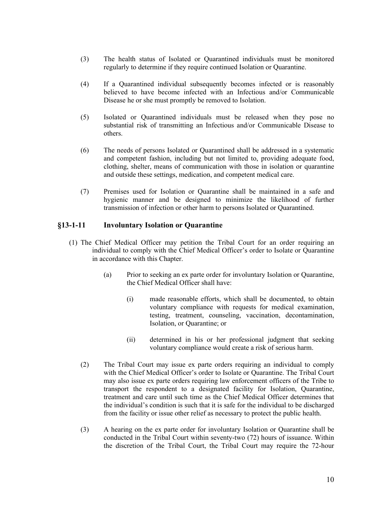- (3) The health status of Isolated or Quarantined individuals must be monitored regularly to determine if they require continued Isolation or Quarantine.
- (4) If a Quarantined individual subsequently becomes infected or is reasonably believed to have become infected with an Infectious and/or Communicable Disease he or she must promptly be removed to Isolation.
- (5) Isolated or Quarantined individuals must be released when they pose no substantial risk of transmitting an Infectious and/or Communicable Disease to others.
- (6) The needs of persons Isolated or Quarantined shall be addressed in a systematic and competent fashion, including but not limited to, providing adequate food, clothing, shelter, means of communication with those in isolation or quarantine and outside these settings, medication, and competent medical care.
- (7) Premises used for Isolation or Quarantine shall be maintained in a safe and hygienic manner and be designed to minimize the likelihood of further transmission of infection or other harm to persons Isolated or Quarantined.

## <span id="page-9-0"></span>**§13-1-11 Involuntary Isolation or Quarantine**

- (1) The Chief Medical Officer may petition the Tribal Court for an order requiring an individual to comply with the Chief Medical Officer's order to Isolate or Quarantine in accordance with this Chapter.
	- (a) Prior to seeking an ex parte order for involuntary Isolation or Quarantine, the Chief Medical Officer shall have:
		- (i) made reasonable efforts, which shall be documented, to obtain voluntary compliance with requests for medical examination, testing, treatment, counseling, vaccination, decontamination, Isolation, or Quarantine; or
		- (ii) determined in his or her professional judgment that seeking voluntary compliance would create a risk of serious harm.
	- (2) The Tribal Court may issue ex parte orders requiring an individual to comply with the Chief Medical Officer's order to Isolate or Quarantine. The Tribal Court may also issue ex parte orders requiring law enforcement officers of the Tribe to transport the respondent to a designated facility for Isolation, Quarantine, treatment and care until such time as the Chief Medical Officer determines that the individual's condition is such that it is safe for the individual to be discharged from the facility or issue other relief as necessary to protect the public health.
	- (3) A hearing on the ex parte order for involuntary Isolation or Quarantine shall be conducted in the Tribal Court within seventy-two (72) hours of issuance. Within the discretion of the Tribal Court, the Tribal Court may require the 72-hour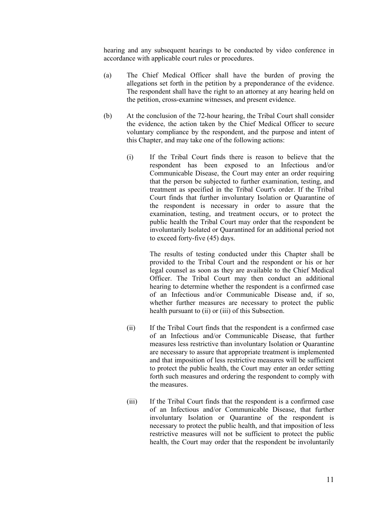hearing and any subsequent hearings to be conducted by video conference in accordance with applicable court rules or procedures.

- (a) The Chief Medical Officer shall have the burden of proving the allegations set forth in the petition by a preponderance of the evidence. The respondent shall have the right to an attorney at any hearing held on the petition, cross-examine witnesses, and present evidence.
- (b) At the conclusion of the 72-hour hearing, the Tribal Court shall consider the evidence, the action taken by the Chief Medical Officer to secure voluntary compliance by the respondent, and the purpose and intent of this Chapter, and may take one of the following actions:
	- (i) If the Tribal Court finds there is reason to believe that the respondent has been exposed to an Infectious and/or Communicable Disease, the Court may enter an order requiring that the person be subjected to further examination, testing, and treatment as specified in the Tribal Court's order. If the Tribal Court finds that further involuntary Isolation or Quarantine of the respondent is necessary in order to assure that the examination, testing, and treatment occurs, or to protect the public health the Tribal Court may order that the respondent be involuntarily Isolated or Quarantined for an additional period not to exceed forty-five (45) days.

The results of testing conducted under this Chapter shall be provided to the Tribal Court and the respondent or his or her legal counsel as soon as they are available to the Chief Medical Officer. The Tribal Court may then conduct an additional hearing to determine whether the respondent is a confirmed case of an Infectious and/or Communicable Disease and, if so, whether further measures are necessary to protect the public health pursuant to (ii) or (iii) of this Subsection.

- (ii) If the Tribal Court finds that the respondent is a confirmed case of an Infectious and/or Communicable Disease, that further measures less restrictive than involuntary Isolation or Quarantine are necessary to assure that appropriate treatment is implemented and that imposition of less restrictive measures will be sufficient to protect the public health, the Court may enter an order setting forth such measures and ordering the respondent to comply with the measures.
- (iii) If the Tribal Court finds that the respondent is a confirmed case of an Infectious and/or Communicable Disease, that further involuntary Isolation or Quarantine of the respondent is necessary to protect the public health, and that imposition of less restrictive measures will not be sufficient to protect the public health, the Court may order that the respondent be involuntarily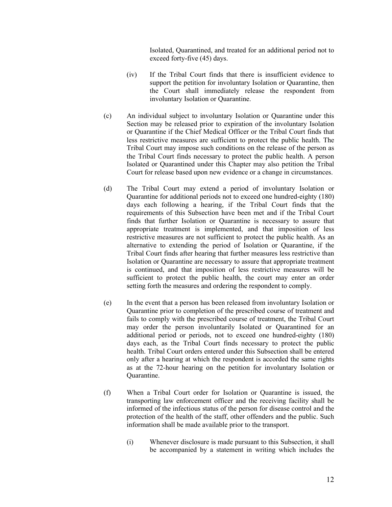Isolated, Quarantined, and treated for an additional period not to exceed forty-five (45) days.

- (iv) If the Tribal Court finds that there is insufficient evidence to support the petition for involuntary Isolation or Quarantine, then the Court shall immediately release the respondent from involuntary Isolation or Quarantine.
- (c) An individual subject to involuntary Isolation or Quarantine under this Section may be released prior to expiration of the involuntary Isolation or Quarantine if the Chief Medical Officer or the Tribal Court finds that less restrictive measures are sufficient to protect the public health. The Tribal Court may impose such conditions on the release of the person as the Tribal Court finds necessary to protect the public health. A person Isolated or Quarantined under this Chapter may also petition the Tribal Court for release based upon new evidence or a change in circumstances.
- (d) The Tribal Court may extend a period of involuntary Isolation or Quarantine for additional periods not to exceed one hundred-eighty (180) days each following a hearing, if the Tribal Court finds that the requirements of this Subsection have been met and if the Tribal Court finds that further Isolation or Quarantine is necessary to assure that appropriate treatment is implemented, and that imposition of less restrictive measures are not sufficient to protect the public health. As an alternative to extending the period of Isolation or Quarantine, if the Tribal Court finds after hearing that further measures less restrictive than Isolation or Quarantine are necessary to assure that appropriate treatment is continued, and that imposition of less restrictive measures will be sufficient to protect the public health, the court may enter an order setting forth the measures and ordering the respondent to comply.
- (e) In the event that a person has been released from involuntary Isolation or Quarantine prior to completion of the prescribed course of treatment and fails to comply with the prescribed course of treatment, the Tribal Court may order the person involuntarily Isolated or Quarantined for an additional period or periods, not to exceed one hundred-eighty (180) days each, as the Tribal Court finds necessary to protect the public health. Tribal Court orders entered under this Subsection shall be entered only after a hearing at which the respondent is accorded the same rights as at the 72-hour hearing on the petition for involuntary Isolation or Quarantine.
- (f) When a Tribal Court order for Isolation or Quarantine is issued, the transporting law enforcement officer and the receiving facility shall be informed of the infectious status of the person for disease control and the protection of the health of the staff, other offenders and the public. Such information shall be made available prior to the transport.
	- (i) Whenever disclosure is made pursuant to this Subsection, it shall be accompanied by a statement in writing which includes the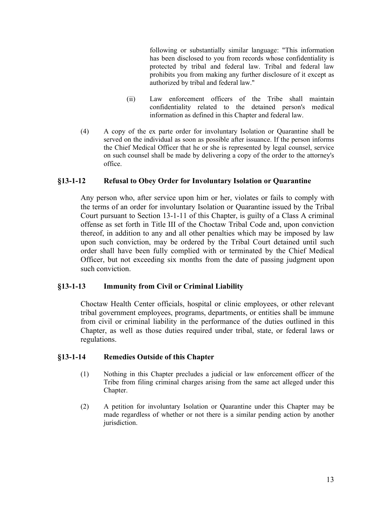following or substantially similar language: "This information has been disclosed to you from records whose confidentiality is protected by tribal and federal law. Tribal and federal law prohibits you from making any further disclosure of it except as authorized by tribal and federal law."

- (ii) Law enforcement officers of the Tribe shall maintain confidentiality related to the detained person's medical information as defined in this Chapter and federal law.
- (4) A copy of the ex parte order for involuntary Isolation or Quarantine shall be served on the individual as soon as possible after issuance. If the person informs the Chief Medical Officer that he or she is represented by legal counsel, service on such counsel shall be made by delivering a copy of the order to the attorney's office.

## <span id="page-12-0"></span>**§13-1-12 Refusal to Obey Order for Involuntary Isolation or Quarantine**

Any person who, after service upon him or her, violates or fails to comply with the terms of an order for involuntary Isolation or Quarantine issued by the Tribal Court pursuant to Section 13-1-11 of this Chapter, is guilty of a Class A criminal offense as set forth in Title III of the Choctaw Tribal Code and, upon conviction thereof, in addition to any and all other penalties which may be imposed by law upon such conviction, may be ordered by the Tribal Court detained until such order shall have been fully complied with or terminated by the Chief Medical Officer, but not exceeding six months from the date of passing judgment upon such conviction.

## <span id="page-12-1"></span>**§13-1-13 Immunity from Civil or Criminal Liability**

Choctaw Health Center officials, hospital or clinic employees, or other relevant tribal government employees, programs, departments, or entities shall be immune from civil or criminal liability in the performance of the duties outlined in this Chapter, as well as those duties required under tribal, state, or federal laws or regulations.

## <span id="page-12-2"></span>**§13-1-14 Remedies Outside of this Chapter**

- (1) Nothing in this Chapter precludes a judicial or law enforcement officer of the Tribe from filing criminal charges arising from the same act alleged under this Chapter.
- (2) A petition for involuntary Isolation or Quarantine under this Chapter may be made regardless of whether or not there is a similar pending action by another jurisdiction.